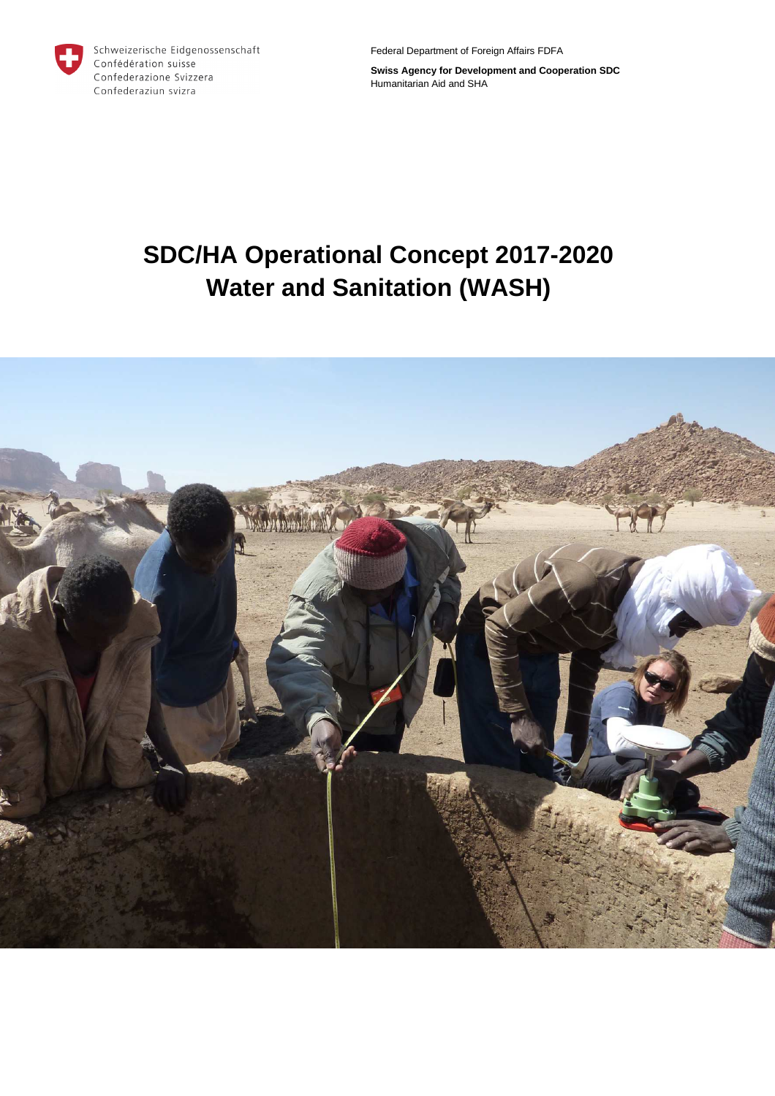

Schweizerische Eidgenossenschaft Confédération suisse Confederazione Svizzera Confederaziun svizra

Federal Department of Foreign Affairs FDFA

**Swiss Agency for Development and Cooperation SDC**  Humanitarian Aid and SHA

# **SDC/HA Operational Concept 2017-2020 Water and Sanitation (WASH)**

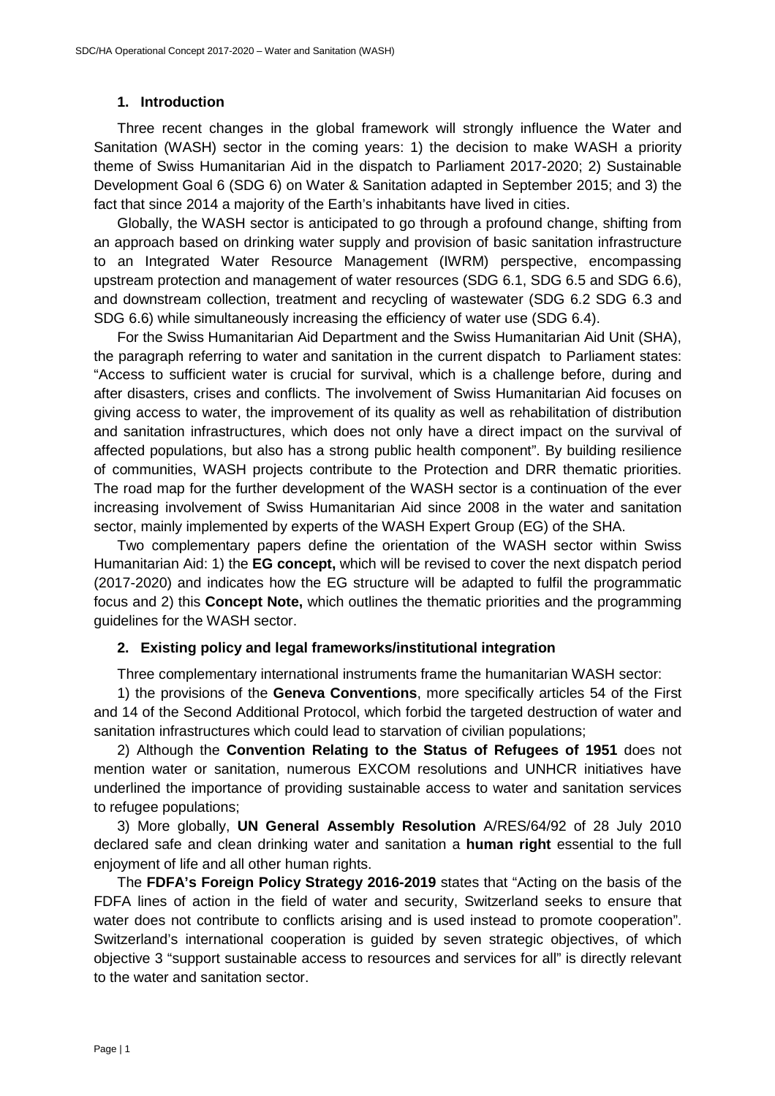# **1. Introduction**

Three recent changes in the global framework will strongly influence the Water and Sanitation (WASH) sector in the coming years: 1) the decision to make WASH a priority theme of Swiss Humanitarian Aid in the dispatch to Parliament 2017-2020; 2) Sustainable Development Goal 6 (SDG 6) on Water & Sanitation adapted in September 2015; and 3) the fact that since 2014 a majority of the Earth's inhabitants have lived in cities.

Globally, the WASH sector is anticipated to go through a profound change, shifting from an approach based on drinking water supply and provision of basic sanitation infrastructure to an Integrated Water Resource Management (IWRM) perspective, encompassing upstream protection and management of water resources (SDG 6.1, SDG 6.5 and SDG 6.6), and downstream collection, treatment and recycling of wastewater (SDG 6.2 SDG 6.3 and SDG 6.6) while simultaneously increasing the efficiency of water use (SDG 6.4).

For the Swiss Humanitarian Aid Department and the Swiss Humanitarian Aid Unit (SHA), the paragraph referring to water and sanitation in the current dispatch to Parliament states: "Access to sufficient water is crucial for survival, which is a challenge before, during and after disasters, crises and conflicts. The involvement of Swiss Humanitarian Aid focuses on giving access to water, the improvement of its quality as well as rehabilitation of distribution and sanitation infrastructures, which does not only have a direct impact on the survival of affected populations, but also has a strong public health component". By building resilience of communities, WASH projects contribute to the Protection and DRR thematic priorities. The road map for the further development of the WASH sector is a continuation of the ever increasing involvement of Swiss Humanitarian Aid since 2008 in the water and sanitation sector, mainly implemented by experts of the WASH Expert Group (EG) of the SHA.

Two complementary papers define the orientation of the WASH sector within Swiss Humanitarian Aid: 1) the **EG concept,** which will be revised to cover the next dispatch period (2017-2020) and indicates how the EG structure will be adapted to fulfil the programmatic focus and 2) this **Concept Note,** which outlines the thematic priorities and the programming guidelines for the WASH sector.

## **2. Existing policy and legal frameworks/institutional integration**

Three complementary international instruments frame the humanitarian WASH sector:

1) the provisions of the **Geneva Conventions**, more specifically articles 54 of the First and 14 of the Second Additional Protocol, which forbid the targeted destruction of water and sanitation infrastructures which could lead to starvation of civilian populations;

2) Although the **Convention Relating to the Status of Refugees of 1951** does not mention water or sanitation, numerous EXCOM resolutions and UNHCR initiatives have underlined the importance of providing sustainable access to water and sanitation services to refugee populations;

3) More globally, **UN General Assembly Resolution** A/RES/64/92 of 28 July 2010 declared safe and clean drinking water and sanitation a **human right** essential to the full enjoyment of life and all other human rights.

The **FDFA's Foreign Policy Strategy 2016-2019** states that "Acting on the basis of the FDFA lines of action in the field of water and security, Switzerland seeks to ensure that water does not contribute to conflicts arising and is used instead to promote cooperation". Switzerland's international cooperation is guided by seven strategic objectives, of which objective 3 "support sustainable access to resources and services for all" is directly relevant to the water and sanitation sector.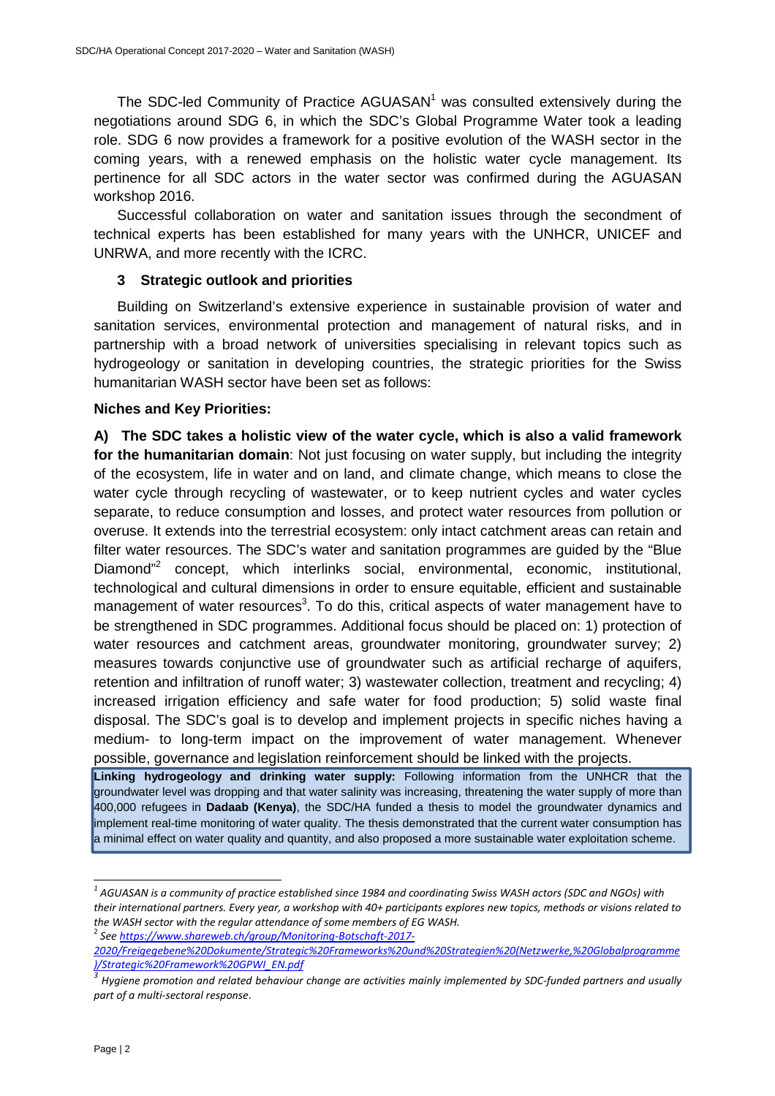The SDC-led Community of Practice  $AGUASAN<sup>1</sup>$  was consulted extensively during the negotiations around SDG 6, in which the SDC's Global Programme Water took a leading role. SDG 6 now provides a framework for a positive evolution of the WASH sector in the coming years, with a renewed emphasis on the holistic water cycle management. Its pertinence for all SDC actors in the water sector was confirmed during the AGUASAN workshop 2016.

Successful collaboration on water and sanitation issues through the secondment of technical experts has been established for many years with the UNHCR, UNICEF and UNRWA, and more recently with the ICRC.

#### **3 Strategic outlook and priorities**

Building on Switzerland's extensive experience in sustainable provision of water and sanitation services, environmental protection and management of natural risks, and in partnership with a broad network of universities specialising in relevant topics such as hydrogeology or sanitation in developing countries, the strategic priorities for the Swiss humanitarian WASH sector have been set as follows:

#### **Niches and Key Priorities:**

**A) The SDC takes a holistic view of the water cycle, which is also a valid framework for the humanitarian domain**: Not just focusing on water supply, but including the integrity of the ecosystem, life in water and on land, and climate change, which means to close the water cycle through recycling of wastewater, or to keep nutrient cycles and water cycles separate, to reduce consumption and losses, and protect water resources from pollution or overuse. It extends into the terrestrial ecosystem: only intact catchment areas can retain and filter water resources. The SDC's water and sanitation programmes are guided by the "Blue Diamond<sup>"2</sup> concept, which interlinks social, environmental, economic, institutional, technological and cultural dimensions in order to ensure equitable, efficient and sustainable management of water resources<sup>3</sup>. To do this, critical aspects of water management have to be strengthened in SDC programmes. Additional focus should be placed on: 1) protection of water resources and catchment areas, groundwater monitoring, groundwater survey; 2) measures towards conjunctive use of groundwater such as artificial recharge of aquifers, retention and infiltration of runoff water; 3) wastewater collection, treatment and recycling; 4) increased irrigation efficiency and safe water for food production; 5) solid waste final disposal. The SDC's goal is to develop and implement projects in specific niches having a medium- to long-term impact on the improvement of water management. Whenever possible, governance and legislation reinforcement should be linked with the projects.

**Linking hydrogeology and drinking water supply:** Following information from the UNHCR that the groundwater level was dropping and that water salinity was increasing, threatening the water supply of more than 400,000 refugees in **Dadaab (Kenya)**, the SDC/HA funded a thesis to model the groundwater dynamics and implement real-time monitoring of water quality. The thesis demonstrated that the current water consumption has a minimal effect on water quality and quantity, and also proposed a more sustainable water exploitation scheme.

2 *See https://www.shareweb.ch/group/Monitoring-Botschaft-2017-*

*<sup>1</sup> AGUASAN is a community of practice established since 1984 and coordinating Swiss WASH actors (SDC and NGOs) with their international partners. Every year, a workshop with 40+ participants explores new topics, methods or visions related to the WASH sector with the regular attendance of some members of EG WASH.* 

*<sup>2020/</sup>Freigegebene%20Dokumente/Strategic%20Frameworks%20und%20Strategien%20(Netzwerke,%20Globalprogramme )/Strategic%20Framework%20GPWI\_EN.pdf*

*<sup>3</sup> Hygiene promotion and related behaviour change are activities mainly implemented by SDC-funded partners and usually part of a multi-sectoral response*.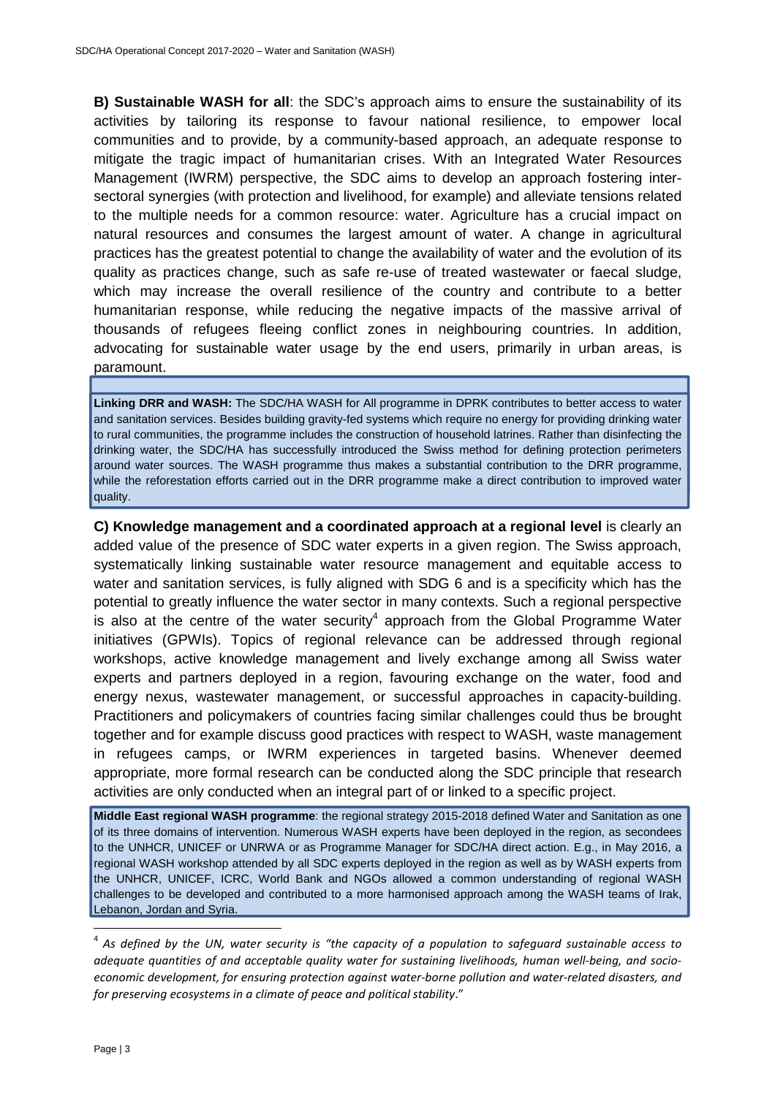**B) Sustainable WASH for all**: the SDC's approach aims to ensure the sustainability of its activities by tailoring its response to favour national resilience, to empower local communities and to provide, by a community-based approach, an adequate response to mitigate the tragic impact of humanitarian crises. With an Integrated Water Resources Management (IWRM) perspective, the SDC aims to develop an approach fostering intersectoral synergies (with protection and livelihood, for example) and alleviate tensions related to the multiple needs for a common resource: water. Agriculture has a crucial impact on natural resources and consumes the largest amount of water. A change in agricultural practices has the greatest potential to change the availability of water and the evolution of its quality as practices change, such as safe re-use of treated wastewater or faecal sludge, which may increase the overall resilience of the country and contribute to a better humanitarian response, while reducing the negative impacts of the massive arrival of thousands of refugees fleeing conflict zones in neighbouring countries. In addition, advocating for sustainable water usage by the end users, primarily in urban areas, is paramount.

**Linking DRR and WASH:** The SDC/HA WASH for All programme in DPRK contributes to better access to water and sanitation services. Besides building gravity-fed systems which require no energy for providing drinking water to rural communities, the programme includes the construction of household latrines. Rather than disinfecting the drinking water, the SDC/HA has successfully introduced the Swiss method for defining protection perimeters around water sources. The WASH programme thus makes a substantial contribution to the DRR programme, while the reforestation efforts carried out in the DRR programme make a direct contribution to improved water quality.

**C) Knowledge management and a coordinated approach at a regional level** is clearly an added value of the presence of SDC water experts in a given region. The Swiss approach, systematically linking sustainable water resource management and equitable access to water and sanitation services, is fully aligned with SDG 6 and is a specificity which has the potential to greatly influence the water sector in many contexts. Such a regional perspective is also at the centre of the water security<sup>4</sup> approach from the Global Programme Water initiatives (GPWIs). Topics of regional relevance can be addressed through regional workshops, active knowledge management and lively exchange among all Swiss water experts and partners deployed in a region, favouring exchange on the water, food and energy nexus, wastewater management, or successful approaches in capacity-building. Practitioners and policymakers of countries facing similar challenges could thus be brought together and for example discuss good practices with respect to WASH, waste management in refugees camps, or IWRM experiences in targeted basins. Whenever deemed appropriate, more formal research can be conducted along the SDC principle that research activities are only conducted when an integral part of or linked to a specific project.

**Middle East regional WASH programme**: the regional strategy 2015-2018 defined Water and Sanitation as one of its three domains of intervention. Numerous WASH experts have been deployed in the region, as secondees to the UNHCR, UNICEF or UNRWA or as Programme Manager for SDC/HA direct action. E.g., in May 2016, a regional WASH workshop attended by all SDC experts deployed in the region as well as by WASH experts from the UNHCR, UNICEF, ICRC, World Bank and NGOs allowed a common understanding of regional WASH challenges to be developed and contributed to a more harmonised approach among the WASH teams of Irak, Lebanon, Jordan and Syria.

<sup>4</sup> *As defined by the UN, water security is "the capacity of a population to safeguard sustainable access to adequate quantities of and acceptable quality water for sustaining livelihoods, human well-being, and socioeconomic development, for ensuring protection against water-borne pollution and water-related disasters, and for preserving ecosystems in a climate of peace and political stability*."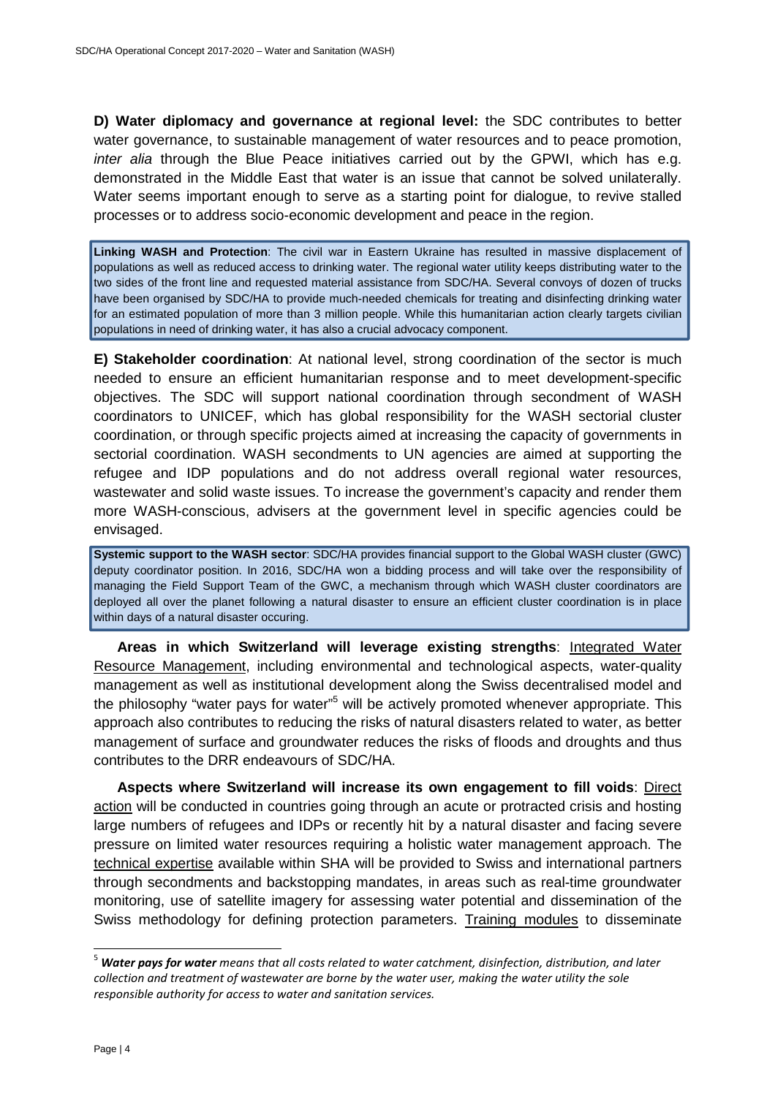**D) Water diplomacy and governance at regional level:** the SDC contributes to better water governance, to sustainable management of water resources and to peace promotion, inter alia through the Blue Peace initiatives carried out by the GPWI, which has e.g. demonstrated in the Middle East that water is an issue that cannot be solved unilaterally. Water seems important enough to serve as a starting point for dialogue, to revive stalled processes or to address socio-economic development and peace in the region.

**Linking WASH and Protection**: The civil war in Eastern Ukraine has resulted in massive displacement of populations as well as reduced access to drinking water. The regional water utility keeps distributing water to the two sides of the front line and requested material assistance from SDC/HA. Several convoys of dozen of trucks have been organised by SDC/HA to provide much-needed chemicals for treating and disinfecting drinking water for an estimated population of more than 3 million people. While this humanitarian action clearly targets civilian populations in need of drinking water, it has also a crucial advocacy component.

**E) Stakeholder coordination**: At national level, strong coordination of the sector is much needed to ensure an efficient humanitarian response and to meet development-specific objectives. The SDC will support national coordination through secondment of WASH coordinators to UNICEF, which has global responsibility for the WASH sectorial cluster coordination, or through specific projects aimed at increasing the capacity of governments in sectorial coordination. WASH secondments to UN agencies are aimed at supporting the refugee and IDP populations and do not address overall regional water resources, wastewater and solid waste issues. To increase the government's capacity and render them more WASH-conscious, advisers at the government level in specific agencies could be envisaged.

**Systemic support to the WASH sector**: SDC/HA provides financial support to the Global WASH cluster (GWC) deputy coordinator position. In 2016, SDC/HA won a bidding process and will take over the responsibility of managing the Field Support Team of the GWC, a mechanism through which WASH cluster coordinators are deployed all over the planet following a natural disaster to ensure an efficient cluster coordination is in place within days of a natural disaster occuring.

**Areas in which Switzerland will leverage existing strengths**: Integrated Water Resource Management, including environmental and technological aspects, water-quality management as well as institutional development along the Swiss decentralised model and the philosophy "water pays for water"<sup>5</sup> will be actively promoted whenever appropriate. This approach also contributes to reducing the risks of natural disasters related to water, as better management of surface and groundwater reduces the risks of floods and droughts and thus contributes to the DRR endeavours of SDC/HA.

**Aspects where Switzerland will increase its own engagement to fill voids**: Direct action will be conducted in countries going through an acute or protracted crisis and hosting large numbers of refugees and IDPs or recently hit by a natural disaster and facing severe pressure on limited water resources requiring a holistic water management approach. The technical expertise available within SHA will be provided to Swiss and international partners through secondments and backstopping mandates, in areas such as real-time groundwater monitoring, use of satellite imagery for assessing water potential and dissemination of the Swiss methodology for defining protection parameters. Training modules to disseminate

<sup>5</sup> *Water pays for water means that all costs related to water catchment, disinfection, distribution, and later collection and treatment of wastewater are borne by the water user, making the water utility the sole responsible authority for access to water and sanitation services.*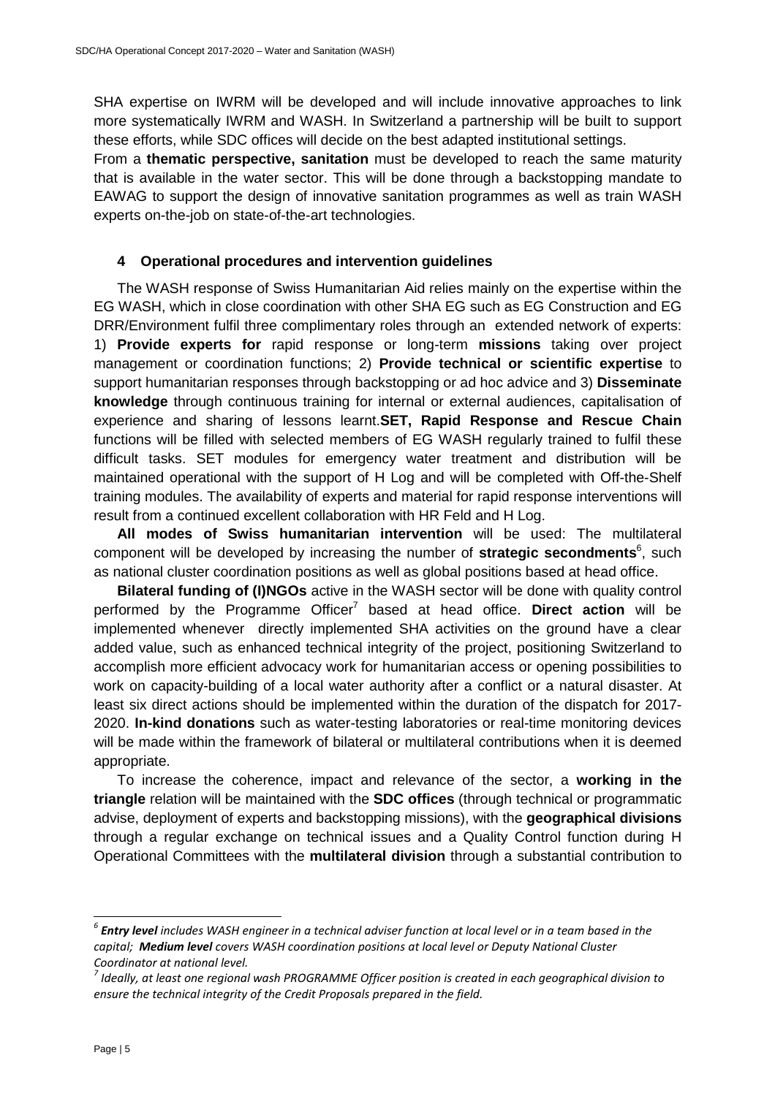SHA expertise on IWRM will be developed and will include innovative approaches to link more systematically IWRM and WASH. In Switzerland a partnership will be built to support these efforts, while SDC offices will decide on the best adapted institutional settings.

From a **thematic perspective, sanitation** must be developed to reach the same maturity that is available in the water sector. This will be done through a backstopping mandate to EAWAG to support the design of innovative sanitation programmes as well as train WASH experts on-the-job on state-of-the-art technologies.

## **4 Operational procedures and intervention guidelines**

The WASH response of Swiss Humanitarian Aid relies mainly on the expertise within the EG WASH, which in close coordination with other SHA EG such as EG Construction and EG DRR/Environment fulfil three complimentary roles through an extended network of experts: 1) **Provide experts for** rapid response or long-term **missions** taking over project management or coordination functions; 2) **Provide technical or scientific expertise** to support humanitarian responses through backstopping or ad hoc advice and 3) **Disseminate knowledge** through continuous training for internal or external audiences, capitalisation of experience and sharing of lessons learnt.**SET, Rapid Response and Rescue Chain** functions will be filled with selected members of EG WASH regularly trained to fulfil these difficult tasks. SET modules for emergency water treatment and distribution will be maintained operational with the support of H Log and will be completed with Off-the-Shelf training modules. The availability of experts and material for rapid response interventions will result from a continued excellent collaboration with HR Feld and H Log.

**All modes of Swiss humanitarian intervention** will be used: The multilateral component will be developed by increasing the number of strategic secondments<sup>6</sup>, such as national cluster coordination positions as well as global positions based at head office.

**Bilateral funding of (I)NGOs** active in the WASH sector will be done with quality control performed by the Programme Officer<sup>7</sup> based at head office. **Direct action** will be implemented whenever directly implemented SHA activities on the ground have a clear added value, such as enhanced technical integrity of the project, positioning Switzerland to accomplish more efficient advocacy work for humanitarian access or opening possibilities to work on capacity-building of a local water authority after a conflict or a natural disaster. At least six direct actions should be implemented within the duration of the dispatch for 2017- 2020. **In-kind donations** such as water-testing laboratories or real-time monitoring devices will be made within the framework of bilateral or multilateral contributions when it is deemed appropriate.

To increase the coherence, impact and relevance of the sector, a **working in the triangle** relation will be maintained with the **SDC offices** (through technical or programmatic advise, deployment of experts and backstopping missions), with the **geographical divisions** through a regular exchange on technical issues and a Quality Control function during H Operational Committees with the **multilateral division** through a substantial contribution to

*<sup>6</sup> Entry level includes WASH engineer in a technical adviser function at local level or in a team based in the capital; Medium level covers WASH coordination positions at local level or Deputy National Cluster Coordinator at national level.* 

*<sup>7</sup> Ideally, at least one regional wash PROGRAMME Officer position is created in each geographical division to ensure the technical integrity of the Credit Proposals prepared in the field.*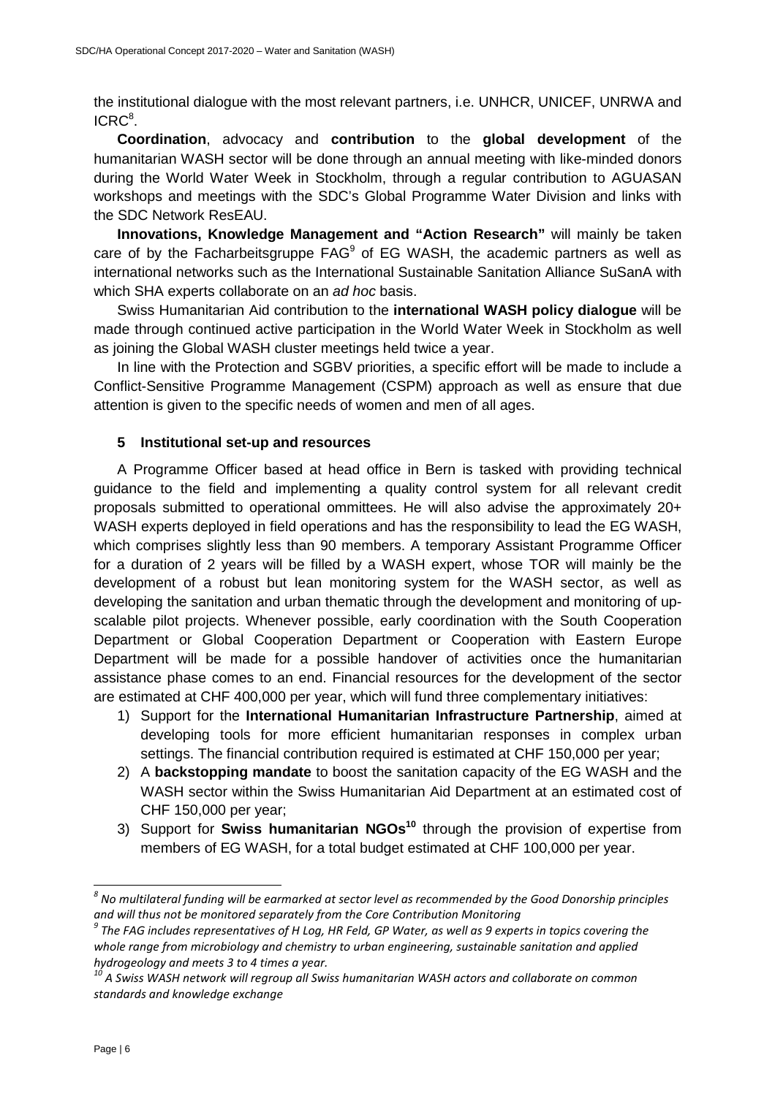the institutional dialogue with the most relevant partners, i.e. UNHCR, UNICEF, UNRWA and  $ICRC<sup>8</sup>$ .

**Coordination**, advocacy and **contribution** to the **global development** of the humanitarian WASH sector will be done through an annual meeting with like-minded donors during the World Water Week in Stockholm, through a regular contribution to AGUASAN workshops and meetings with the SDC's Global Programme Water Division and links with the SDC Network ResEAU.

**Innovations, Knowledge Management and "Action Research"** will mainly be taken care of by the Facharbeitsgruppe  $FAG<sup>9</sup>$  of EG WASH, the academic partners as well as international networks such as the International Sustainable Sanitation Alliance SuSanA with which SHA experts collaborate on an ad hoc basis.

Swiss Humanitarian Aid contribution to the **international WASH policy dialogue** will be made through continued active participation in the World Water Week in Stockholm as well as joining the Global WASH cluster meetings held twice a year.

In line with the Protection and SGBV priorities, a specific effort will be made to include a Conflict-Sensitive Programme Management (CSPM) approach as well as ensure that due attention is given to the specific needs of women and men of all ages.

#### **5 Institutional set-up and resources**

A Programme Officer based at head office in Bern is tasked with providing technical guidance to the field and implementing a quality control system for all relevant credit proposals submitted to operational ommittees. He will also advise the approximately 20+ WASH experts deployed in field operations and has the responsibility to lead the EG WASH, which comprises slightly less than 90 members. A temporary Assistant Programme Officer for a duration of 2 years will be filled by a WASH expert, whose TOR will mainly be the development of a robust but lean monitoring system for the WASH sector, as well as developing the sanitation and urban thematic through the development and monitoring of upscalable pilot projects. Whenever possible, early coordination with the South Cooperation Department or Global Cooperation Department or Cooperation with Eastern Europe Department will be made for a possible handover of activities once the humanitarian assistance phase comes to an end. Financial resources for the development of the sector are estimated at CHF 400,000 per year, which will fund three complementary initiatives:

- 1) Support for the **International Humanitarian Infrastructure Partnership**, aimed at developing tools for more efficient humanitarian responses in complex urban settings. The financial contribution required is estimated at CHF 150,000 per year;
- 2) A **backstopping mandate** to boost the sanitation capacity of the EG WASH and the WASH sector within the Swiss Humanitarian Aid Department at an estimated cost of CHF 150,000 per year;
- 3) Support for **Swiss humanitarian NGOs<sup>10</sup>** through the provision of expertise from members of EG WASH, for a total budget estimated at CHF 100,000 per year.

 *8 No multilateral funding will be earmarked at sector level as recommended by the Good Donorship principles and will thus not be monitored separately from the Core Contribution Monitoring* 

<sup>&</sup>lt;sup>9</sup> The FAG includes representatives of H Log, HR Feld, GP Water, as well as 9 experts in topics covering the *whole range from microbiology and chemistry to urban engineering, sustainable sanitation and applied hydrogeology and meets 3 to 4 times a year.* 

*<sup>10</sup> A Swiss WASH network will regroup all Swiss humanitarian WASH actors and collaborate on common standards and knowledge exchange*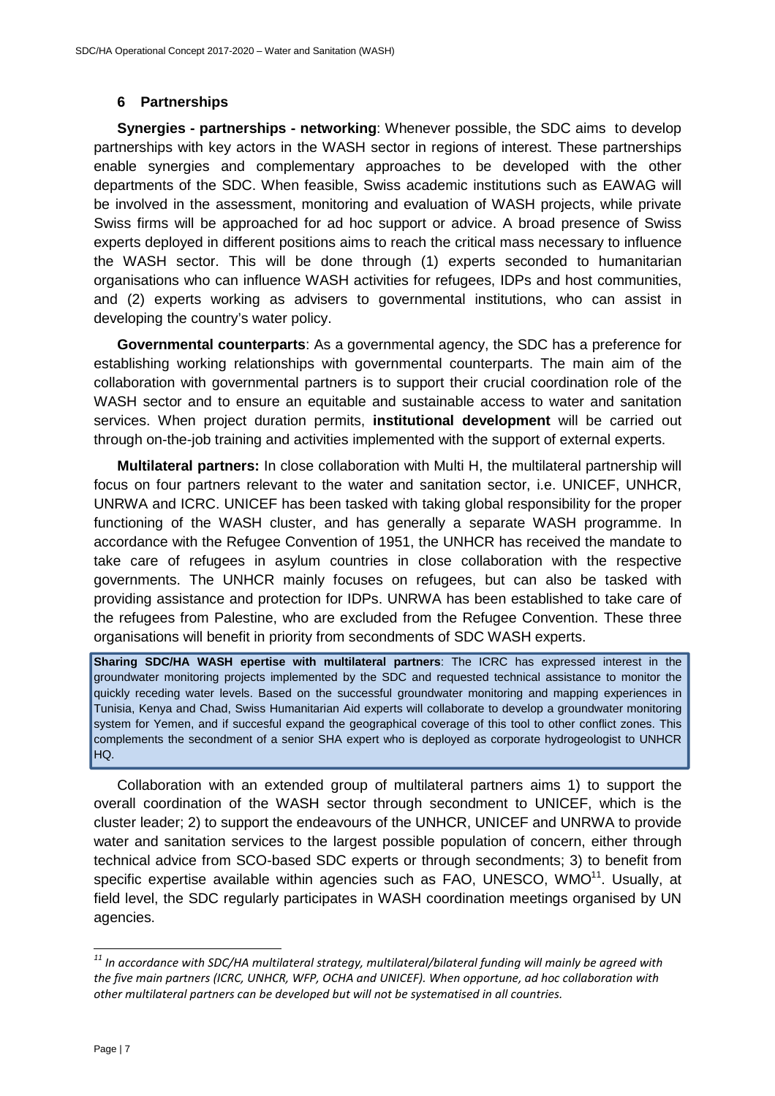### **6 Partnerships**

**Synergies - partnerships - networking**: Whenever possible, the SDC aims to develop partnerships with key actors in the WASH sector in regions of interest. These partnerships enable synergies and complementary approaches to be developed with the other departments of the SDC. When feasible, Swiss academic institutions such as EAWAG will be involved in the assessment, monitoring and evaluation of WASH projects, while private Swiss firms will be approached for ad hoc support or advice. A broad presence of Swiss experts deployed in different positions aims to reach the critical mass necessary to influence the WASH sector. This will be done through (1) experts seconded to humanitarian organisations who can influence WASH activities for refugees, IDPs and host communities, and (2) experts working as advisers to governmental institutions, who can assist in developing the country's water policy.

**Governmental counterparts**: As a governmental agency, the SDC has a preference for establishing working relationships with governmental counterparts. The main aim of the collaboration with governmental partners is to support their crucial coordination role of the WASH sector and to ensure an equitable and sustainable access to water and sanitation services. When project duration permits, **institutional development** will be carried out through on-the-job training and activities implemented with the support of external experts.

**Multilateral partners:** In close collaboration with Multi H, the multilateral partnership will focus on four partners relevant to the water and sanitation sector, i.e. UNICEF, UNHCR, UNRWA and ICRC. UNICEF has been tasked with taking global responsibility for the proper functioning of the WASH cluster, and has generally a separate WASH programme. In accordance with the Refugee Convention of 1951, the UNHCR has received the mandate to take care of refugees in asylum countries in close collaboration with the respective governments. The UNHCR mainly focuses on refugees, but can also be tasked with providing assistance and protection for IDPs. UNRWA has been established to take care of the refugees from Palestine, who are excluded from the Refugee Convention. These three organisations will benefit in priority from secondments of SDC WASH experts.

**Sharing SDC/HA WASH epertise with multilateral partners**: The ICRC has expressed interest in the groundwater monitoring projects implemented by the SDC and requested technical assistance to monitor the quickly receding water levels. Based on the successful groundwater monitoring and mapping experiences in Tunisia, Kenya and Chad, Swiss Humanitarian Aid experts will collaborate to develop a groundwater monitoring system for Yemen, and if succesful expand the geographical coverage of this tool to other conflict zones. This complements the secondment of a senior SHA expert who is deployed as corporate hydrogeologist to UNHCR HQ.

Collaboration with an extended group of multilateral partners aims 1) to support the overall coordination of the WASH sector through secondment to UNICEF, which is the cluster leader; 2) to support the endeavours of the UNHCR, UNICEF and UNRWA to provide water and sanitation services to the largest possible population of concern, either through technical advice from SCO-based SDC experts or through secondments; 3) to benefit from specific expertise available within agencies such as FAO, UNESCO,  $WMO<sup>11</sup>$ , Usually, at field level, the SDC regularly participates in WASH coordination meetings organised by UN agencies.

*<sup>11</sup> In accordance with SDC/HA multilateral strategy, multilateral/bilateral funding will mainly be agreed with the five main partners (ICRC, UNHCR, WFP, OCHA and UNICEF). When opportune, ad hoc collaboration with other multilateral partners can be developed but will not be systematised in all countries.*